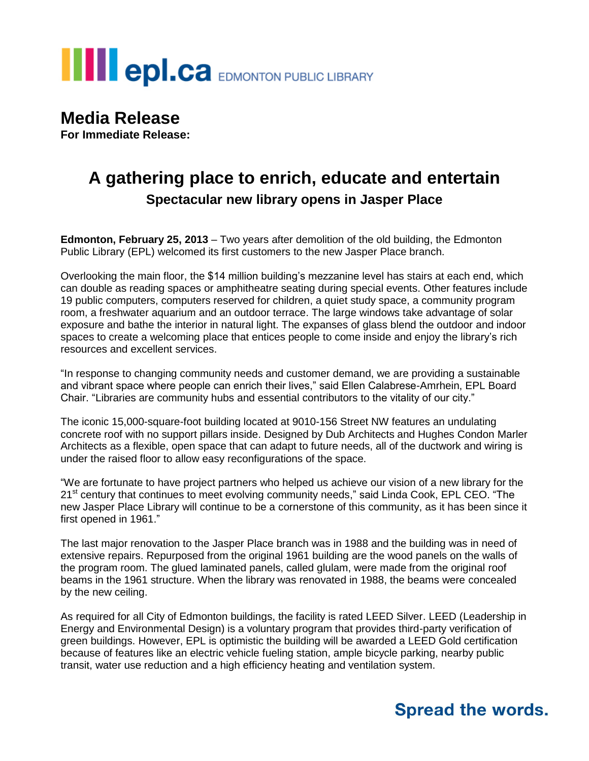# **THE POLCA** EDMONTON PUBLIC LIBRARY

### **Media Release**

**For Immediate Release:**

## **A gathering place to enrich, educate and entertain Spectacular new library opens in Jasper Place**

**Edmonton, February 25, 2013** – Two years after demolition of the old building, the Edmonton Public Library (EPL) welcomed its first customers to the new Jasper Place branch.

Overlooking the main floor, the \$14 million building's mezzanine level has stairs at each end, which can double as reading spaces or amphitheatre seating during special events. Other features include 19 public computers, computers reserved for children, a quiet study space, a community program room, a freshwater aquarium and an outdoor terrace. The large windows take advantage of solar exposure and bathe the interior in natural light. The expanses of glass blend the outdoor and indoor spaces to create a welcoming place that entices people to come inside and enjoy the library's rich resources and excellent services.

"In response to changing community needs and customer demand, we are providing a sustainable and vibrant space where people can enrich their lives," said Ellen Calabrese-Amrhein, EPL Board Chair. "Libraries are community hubs and essential contributors to the vitality of our city."

The iconic 15,000-square-foot building located at 9010-156 Street NW features an undulating concrete roof with no support pillars inside. Designed by Dub Architects and Hughes Condon Marler Architects as a flexible, open space that can adapt to future needs, all of the ductwork and wiring is under the raised floor to allow easy reconfigurations of the space.

"We are fortunate to have project partners who helped us achieve our vision of a new library for the 21<sup>st</sup> century that continues to meet evolving community needs," said Linda Cook, EPL CEO. "The new Jasper Place Library will continue to be a cornerstone of this community, as it has been since it first opened in 1961."

The last major renovation to the Jasper Place branch was in 1988 and the building was in need of extensive repairs. Repurposed from the original 1961 building are the wood panels on the walls of the program room. The glued laminated panels, called glulam, were made from the original roof beams in the 1961 structure. When the library was renovated in 1988, the beams were concealed by the new ceiling.

As required for all City of Edmonton buildings, the facility is rated LEED Silver. LEED (Leadership in Energy and Environmental Design) is a voluntary program that provides third-party verification of green buildings. However, EPL is optimistic the building will be awarded a LEED Gold certification because of features like an electric vehicle fueling station, ample bicycle parking, nearby public transit, water use reduction and a high efficiency heating and ventilation system.

## **Spread the words.**